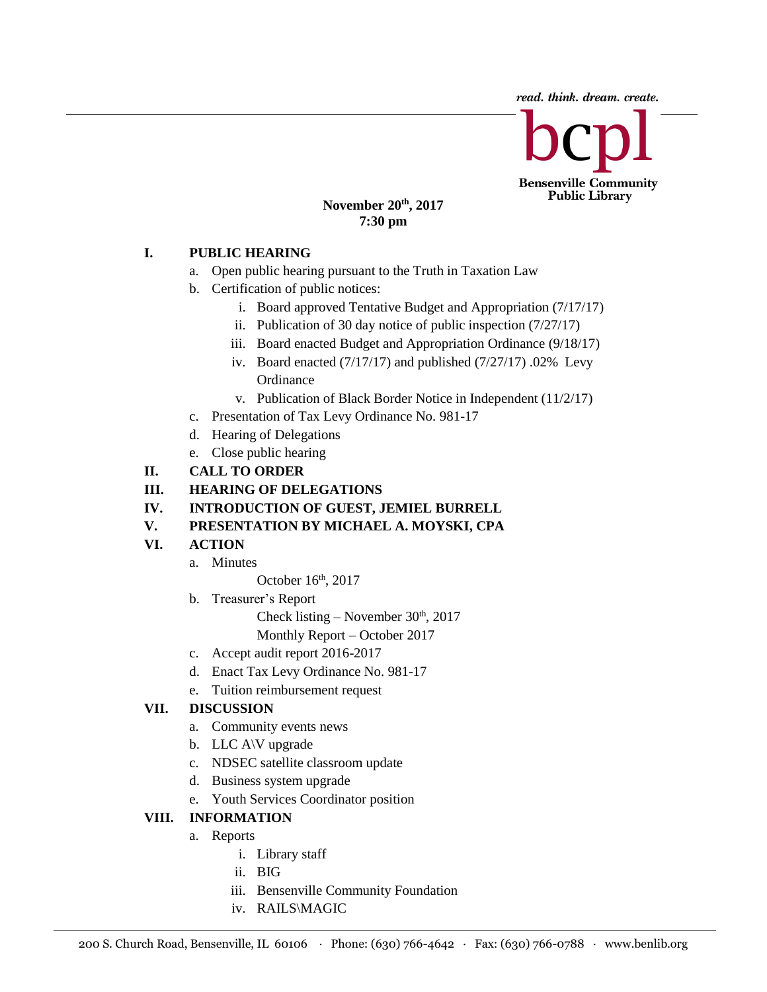read. think. dream. create.

**Bensenville Community Public Library** 

#### **November 20 th, 2017 7:30 pm**

### **I. PUBLIC HEARING**

- a. Open public hearing pursuant to the Truth in Taxation Law
- b. Certification of public notices:
	- i. Board approved Tentative Budget and Appropriation (7/17/17)
	- ii. Publication of 30 day notice of public inspection (7/27/17)
	- iii. Board enacted Budget and Appropriation Ordinance (9/18/17)
	- iv. Board enacted (7/17/17) and published (7/27/17) .02% Levy **Ordinance**
	- v. Publication of Black Border Notice in Independent (11/2/17)
- c. Presentation of Tax Levy Ordinance No. 981-17
- d. Hearing of Delegations
- e. Close public hearing
- **II. CALL TO ORDER**
- **III. HEARING OF DELEGATIONS**
- **IV. INTRODUCTION OF GUEST, JEMIEL BURRELL**
- **V. PRESENTATION BY MICHAEL A. MOYSKI, CPA**

# **VI. ACTION**

a. Minutes

October 16<sup>th</sup>, 2017

b. Treasurer's Report

Check listing – November  $30<sup>th</sup>$ , 2017

- Monthly Report October 2017
- c. Accept audit report 2016-2017
- d. Enact Tax Levy Ordinance No. 981-17
- e. Tuition reimbursement request

# **VII. DISCUSSION**

- a. Community events news
- b. LLC A\V upgrade
- c. NDSEC satellite classroom update
- d. Business system upgrade
- e. Youth Services Coordinator position

# **VIII. INFORMATION**

- a. Reports
	- i. Library staff
	- ii. BIG
	- iii. Bensenville Community Foundation
	- iv. RAILS\MAGIC